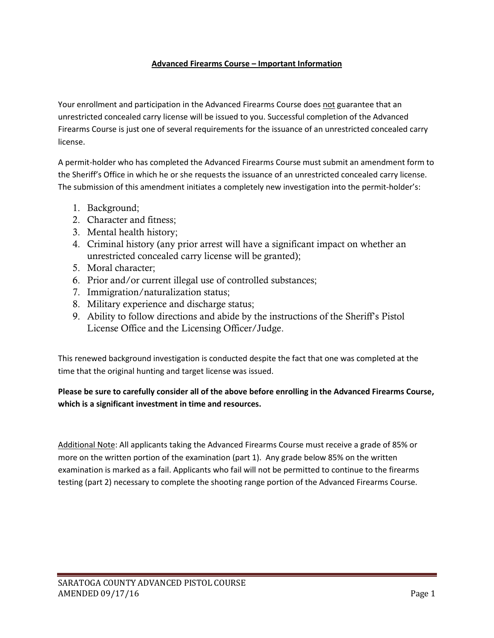#### **Advanced Firearms Course – Important Information**

Your enrollment and participation in the Advanced Firearms Course does not guarantee that an unrestricted concealed carry license will be issued to you. Successful completion of the Advanced Firearms Course is just one of several requirements for the issuance of an unrestricted concealed carry license.

A permit-holder who has completed the Advanced Firearms Course must submit an amendment form to the Sheriff's Office in which he or she requests the issuance of an unrestricted concealed carry license. The submission of this amendment initiates a completely new investigation into the permit-holder's:

- 1. Background;
- 2. Character and fitness;
- 3. Mental health history;
- 4. Criminal history (any prior arrest will have a significant impact on whether an unrestricted concealed carry license will be granted);
- 5. Moral character;
- 6. Prior and/or current illegal use of controlled substances;
- 7. Immigration/naturalization status;
- 8. Military experience and discharge status;
- 9. Ability to follow directions and abide by the instructions of the Sheriff's Pistol License Office and the Licensing Officer/Judge.

This renewed background investigation is conducted despite the fact that one was completed at the time that the original hunting and target license was issued.

#### **Please be sure to carefully consider all of the above before enrolling in the Advanced Firearms Course, which is a significant investment in time and resources.**

Additional Note: All applicants taking the Advanced Firearms Course must receive a grade of 85% or more on the written portion of the examination (part 1). Any grade below 85% on the written examination is marked as a fail. Applicants who fail will not be permitted to continue to the firearms testing (part 2) necessary to complete the shooting range portion of the Advanced Firearms Course.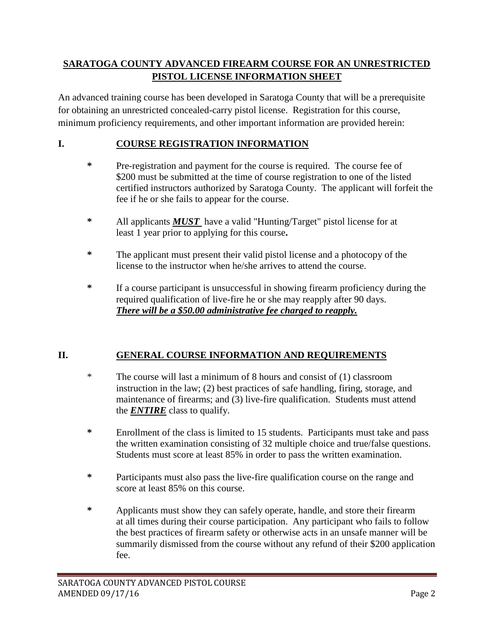# **SARATOGA COUNTY ADVANCED FIREARM COURSE FOR AN UNRESTRICTED PISTOL LICENSE INFORMATION SHEET**

An advanced training course has been developed in Saratoga County that will be a prerequisite for obtaining an unrestricted concealed-carry pistol license. Registration for this course, minimum proficiency requirements, and other important information are provided herein:

# **I. COURSE REGISTRATION INFORMATION**

- **\*** Pre-registration and payment for the course is required. The course fee of \$200 must be submitted at the time of course registration to one of the listed certified instructors authorized by Saratoga County. The applicant will forfeit the fee if he or she fails to appear for the course.
- **\*** All applicants *MUST* have a valid "Hunting/Target" pistol license for at least 1 year prior to applying for this course**.**
- **\*** The applicant must present their valid pistol license and a photocopy of the license to the instructor when he/she arrives to attend the course.
- **\*** If a course participant is unsuccessful in showing firearm proficiency during the required qualification of live-fire he or she may reapply after 90 days. *There will be a \$50.00 administrative fee charged to reapply.*

# **II. GENERAL COURSE INFORMATION AND REQUIREMENTS**

- \* The course will last a minimum of 8 hours and consist of (1) classroom instruction in the law; (2) best practices of safe handling, firing, storage, and maintenance of firearms; and (3) live-fire qualification. Students must attend the *ENTIRE* class to qualify.
- **\*** Enrollment of the class is limited to 15 students. Participants must take and pass the written examination consisting of 32 multiple choice and true/false questions. Students must score at least 85% in order to pass the written examination.
- **\*** Participants must also pass the live-fire qualification course on the range and score at least 85% on this course.
- **\*** Applicants must show they can safely operate, handle, and store their firearm at all times during their course participation. Any participant who fails to follow the best practices of firearm safety or otherwise acts in an unsafe manner will be summarily dismissed from the course without any refund of their \$200 application fee.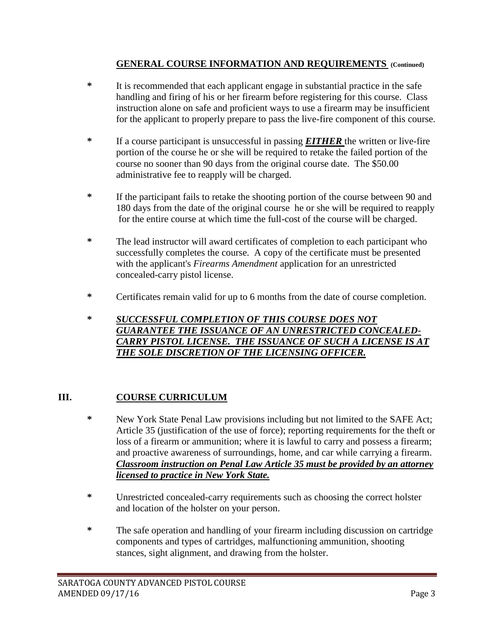## **GENERAL COURSE INFORMATION AND REQUIREMENTS (Continued)**

- **\*** It is recommended that each applicant engage in substantial practice in the safe handling and firing of his or her firearm before registering for this course. Class instruction alone on safe and proficient ways to use a firearm may be insufficient for the applicant to properly prepare to pass the live-fire component of this course.
- **\*** If a course participant is unsuccessful in passing *EITHER* the written or live-fire portion of the course he or she will be required to retake the failed portion of the course no sooner than 90 days from the original course date. The \$50.00 administrative fee to reapply will be charged.
- **\*** If the participant fails to retake the shooting portion of the course between 90 and 180 days from the date of the original course he or she will be required to reapply for the entire course at which time the full-cost of the course will be charged.
- **\*** The lead instructor will award certificates of completion to each participant who successfully completes the course. A copy of the certificate must be presented with the applicant's *Firearms Amendment* application for an unrestricted concealed-carry pistol license.
- **\*** Certificates remain valid for up to 6 months from the date of course completion.
- **\*** *SUCCESSFUL COMPLETION OF THIS COURSE DOES NOT GUARANTEE THE ISSUANCE OF AN UNRESTRICTED CONCEALED-CARRY PISTOL LICENSE. THE ISSUANCE OF SUCH A LICENSE IS AT THE SOLE DISCRETION OF THE LICENSING OFFICER.*

## **III. COURSE CURRICULUM**

- **\*** New York State Penal Law provisions including but not limited to the SAFE Act; Article 35 (justification of the use of force); reporting requirements for the theft or loss of a firearm or ammunition; where it is lawful to carry and possess a firearm; and proactive awareness of surroundings, home, and car while carrying a firearm. *Classroom instruction on Penal Law Article 35 must be provided by an attorney licensed to practice in New York State.*
- **\*** Unrestricted concealed-carry requirements such as choosing the correct holster and location of the holster on your person.
- **\*** The safe operation and handling of your firearm including discussion on cartridge components and types of cartridges, malfunctioning ammunition, shooting stances, sight alignment, and drawing from the holster.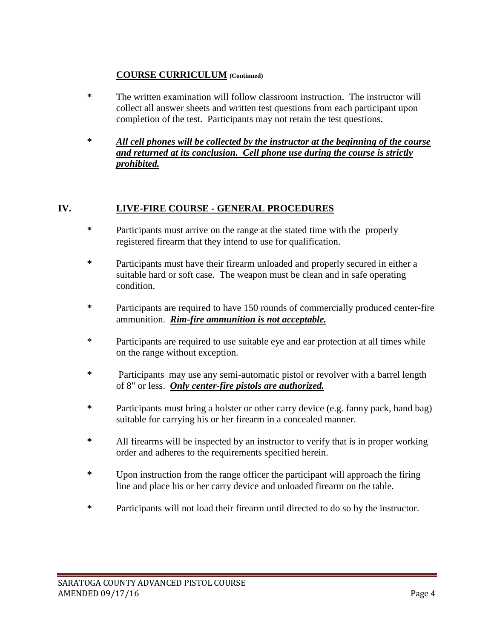## **COURSE CURRICULUM (Continued)**

- **\*** The written examination will follow classroom instruction. The instructor will collect all answer sheets and written test questions from each participant upon completion of the test. Participants may not retain the test questions.
- **\*** *All cell phones will be collected by the instructor at the beginning of the course and returned at its conclusion. Cell phone use during the course is strictly prohibited.*

# **IV. LIVE-FIRE COURSE - GENERAL PROCEDURES**

- **\*** Participants must arrive on the range at the stated time with the properly registered firearm that they intend to use for qualification.
- **\*** Participants must have their firearm unloaded and properly secured in either a suitable hard or soft case. The weapon must be clean and in safe operating condition.
- **\*** Participants are required to have 150 rounds of commercially produced center-fire ammunition. *Rim-fire ammunition is not acceptable.*
- \* Participants are required to use suitable eye and ear protection at all times while on the range without exception.
- **\*** Participants may use any semi-automatic pistol or revolver with a barrel length of 8" or less. *Only center-fire pistols are authorized.*
- **\*** Participants must bring a holster or other carry device (e.g. fanny pack, hand bag) suitable for carrying his or her firearm in a concealed manner.
- **\*** All firearms will be inspected by an instructor to verify that is in proper working order and adheres to the requirements specified herein.
- **\*** Upon instruction from the range officer the participant will approach the firing line and place his or her carry device and unloaded firearm on the table.
- **\*** Participants will not load their firearm until directed to do so by the instructor.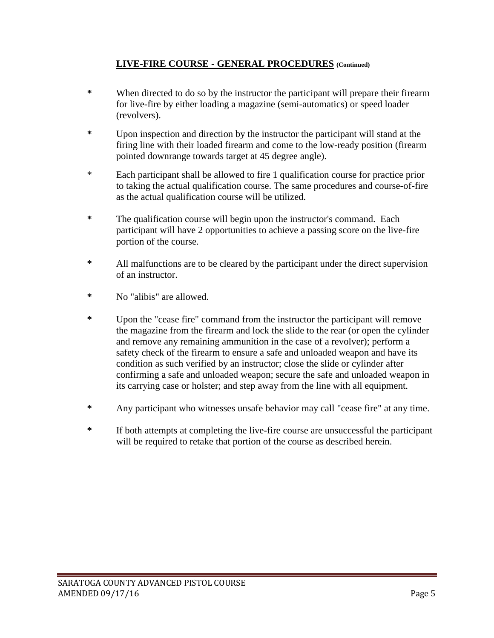## **LIVE-FIRE COURSE - GENERAL PROCEDURES (Continued)**

- **\*** When directed to do so by the instructor the participant will prepare their firearm for live-fire by either loading a magazine (semi-automatics) or speed loader (revolvers).
- **\*** Upon inspection and direction by the instructor the participant will stand at the firing line with their loaded firearm and come to the low-ready position (firearm pointed downrange towards target at 45 degree angle).
- \* Each participant shall be allowed to fire 1 qualification course for practice prior to taking the actual qualification course. The same procedures and course-of-fire as the actual qualification course will be utilized.
- **\*** The qualification course will begin upon the instructor's command. Each participant will have 2 opportunities to achieve a passing score on the live-fire portion of the course.
- **\*** All malfunctions are to be cleared by the participant under the direct supervision of an instructor.
- **\*** No "alibis" are allowed.
- **\*** Upon the "cease fire" command from the instructor the participant will remove the magazine from the firearm and lock the slide to the rear (or open the cylinder and remove any remaining ammunition in the case of a revolver); perform a safety check of the firearm to ensure a safe and unloaded weapon and have its condition as such verified by an instructor; close the slide or cylinder after confirming a safe and unloaded weapon; secure the safe and unloaded weapon in its carrying case or holster; and step away from the line with all equipment.
- **\*** Any participant who witnesses unsafe behavior may call "cease fire" at any time.
- **\*** If both attempts at completing the live-fire course are unsuccessful the participant will be required to retake that portion of the course as described herein.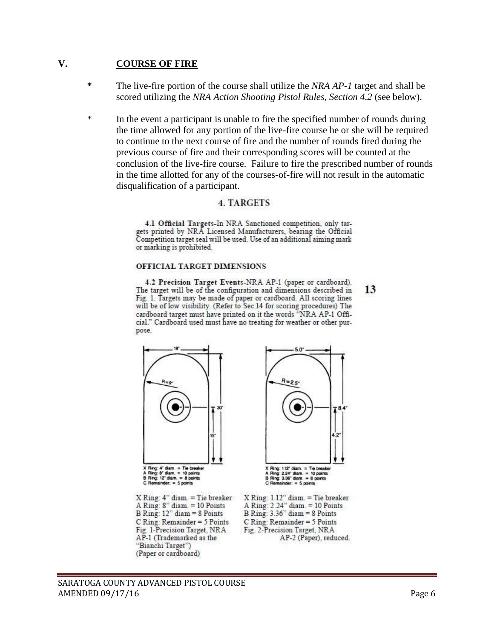#### **V. COURSE OF FIRE**

- **\*** The live-fire portion of the course shall utilize the *NRA AP-1* target and shall be scored utilizing the *NRA Action Shooting Pistol Rules, Section 4.2* (see below).
- \* In the event a participant is unable to fire the specified number of rounds during the time allowed for any portion of the live-fire course he or she will be required to continue to the next course of fire and the number of rounds fired during the previous course of fire and their corresponding scores will be counted at the conclusion of the live-fire course. Failure to fire the prescribed number of rounds in the time allotted for any of the courses-of-fire will not result in the automatic disqualification of a participant.

#### **4. TARGETS**

4.1 Official Targets-In NRA Sanctioned competition, only targets printed by NRA Licensed Manufacturers, bearing the Official Competition target seal will be used. Use of an additional aiming mark or marking is prohibited.

#### OFFICIAL TARGET DIMENSIONS

4.2 Precision Target Events-NRA AP-1 (paper or cardboard). The target will be of the configuration and dimensions described in Fig. 1. Targets may be made of paper or cardboard. All scoring lines will be of low visibility. (Refer to Sec.14 for scoring procedures) The cardboard target must have printed on it the words "NRA AP-1 Official." Cardboard used must have no treating for weather or other purpose.



Ring: 4" diam. = Tie breaker<br>Ring: 8" diam. = 10 points<br>Ring: 12" diam. = 8 points<br>Remainder: = 5 points

 $\begin{array}{l} \hbox{X Ring: 4" diam.} = \hbox{The breaker} \\ \hbox{A Ring: 8" diam.} = \hbox{10 Points} \\ \hbox{B Ring: 12" diam = 8 Points} \end{array}$ C Ring: Remainder = 5 Points Fig. 1-Precision Target, NRA AP-1 (Trademarked as the "Bianchi Target") (Paper or cardboard)



 $\begin{array}{l} \mbox{X Ring: 1.12" diam.} = \mbox{The breaker} \\ \mbox{A Ring: 2.24" diam.} = \mbox{10 Points} \\ \mbox{B Ring: 3.36" diam = 8 Points} \end{array}$  $C$  Ring: Remainder = 5 Points Fig. 2-Precision Target, NRA AP-2 (Paper), reduced. 13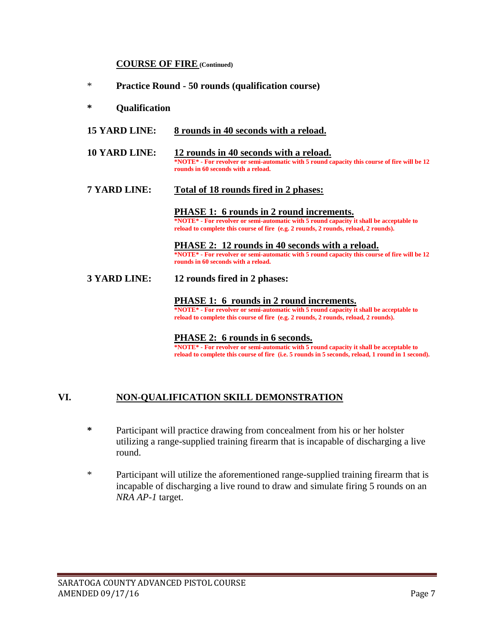#### **COURSE OF FIRE (Continued)**

- \* **Practice Round - 50 rounds (qualification course)**
- **\* Qualification**
- **15 YARD LINE: 8 rounds in 40 seconds with a reload.**
- **10 YARD LINE: 12 rounds in 40 seconds with a reload. \*NOTE\* - For revolver or semi-automatic with 5 round capacity this course of fire will be 12 rounds in 60 seconds with a reload.**
- **7 YARD LINE: Total of 18 rounds fired in 2 phases:**

**PHASE 1: 6 rounds in 2 round increments. \*NOTE\* - For revolver or semi-automatic with 5 round capacity it shall be acceptable to reload to complete this course of fire (e.g. 2 rounds, 2 rounds, reload, 2 rounds).**

**PHASE 2: 12 rounds in 40 seconds with a reload. \*NOTE\* - For revolver or semi-automatic with 5 round capacity this course of fire will be 12 rounds in 60 seconds with a reload.**

**3 YARD LINE: 12 rounds fired in 2 phases:**

**PHASE 1: 6 rounds in 2 round increments. \*NOTE\* - For revolver or semi-automatic with 5 round capacity it shall be acceptable to reload to complete this course of fire (e.g. 2 rounds, 2 rounds, reload, 2 rounds).**

**PHASE 2: 6 rounds in 6 seconds.**

**\*NOTE\* - For revolver or semi-automatic with 5 round capacity it shall be acceptable to reload to complete this course of fire (i.e. 5 rounds in 5 seconds, reload, 1 round in 1 second).**

#### **VI. NON-QUALIFICATION SKILL DEMONSTRATION**

- **\*** Participant will practice drawing from concealment from his or her holster utilizing a range-supplied training firearm that is incapable of discharging a live round.
- \* Participant will utilize the aforementioned range-supplied training firearm that is incapable of discharging a live round to draw and simulate firing 5 rounds on an *NRA AP-1* target.